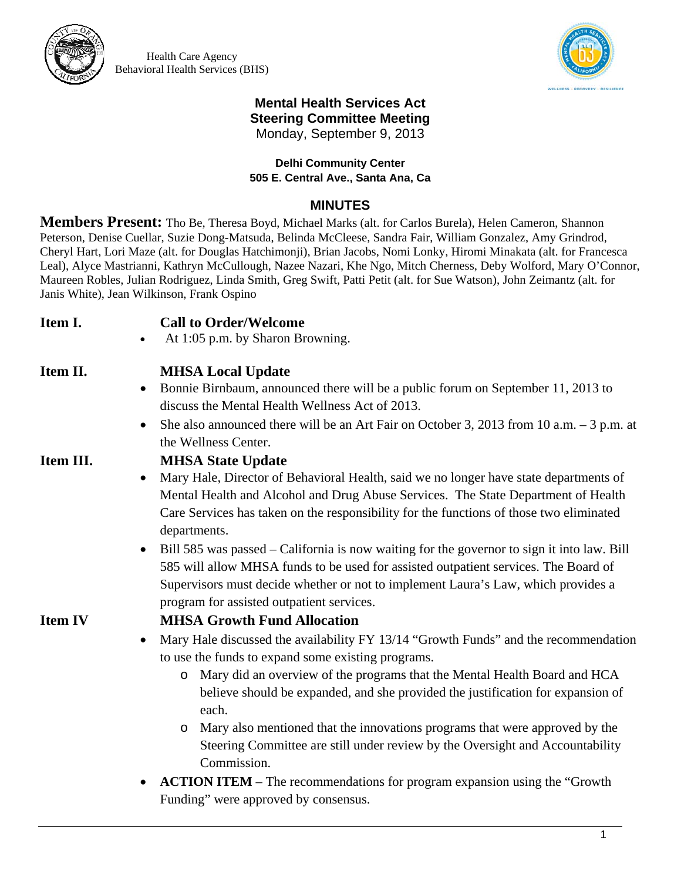

Health Care Agency Behavioral Health Services (BHS)



### **Mental Health Services Act Steering Committee Meeting**  Monday, September 9, 2013

### **Delhi Community Center 505 E. Central Ave., Santa Ana, Ca**

## **MINUTES**

**Members Present:** Tho Be, Theresa Boyd, Michael Marks (alt. for Carlos Burela), Helen Cameron, Shannon Peterson, Denise Cuellar, Suzie Dong-Matsuda, Belinda McCleese, Sandra Fair, William Gonzalez, Amy Grindrod, Cheryl Hart, Lori Maze (alt. for Douglas Hatchimonji), Brian Jacobs, Nomi Lonky, Hiromi Minakata (alt. for Francesca Leal), Alyce Mastrianni, Kathryn McCullough, Nazee Nazari, Khe Ngo, Mitch Cherness, Deby Wolford, Mary O'Connor, Maureen Robles, Julian Rodriguez, Linda Smith, Greg Swift, Patti Petit (alt. for Sue Watson), John Zeimantz (alt. for Janis White), Jean Wilkinson, Frank Ospino

## **Item I. Call to Order/Welcome**

At 1:05 p.m. by Sharon Browning.

# **Item II. MHSA Local Update**

- Bonnie Birnbaum, announced there will be a public forum on September 11, 2013 to discuss the Mental Health Wellness Act of 2013.
- She also announced there will be an Art Fair on October 3, 2013 from 10 a.m.  $-3$  p.m. at the Wellness Center.

## **Item III. MHSA State Update**

- Mary Hale, Director of Behavioral Health, said we no longer have state departments of Mental Health and Alcohol and Drug Abuse Services. The State Department of Health Care Services has taken on the responsibility for the functions of those two eliminated departments.
- Bill 585 was passed California is now waiting for the governor to sign it into law. Bill 585 will allow MHSA funds to be used for assisted outpatient services. The Board of Supervisors must decide whether or not to implement Laura's Law, which provides a program for assisted outpatient services.

# **Item IV MHSA Growth Fund Allocation**

- Mary Hale discussed the availability FY 13/14 "Growth Funds" and the recommendation to use the funds to expand some existing programs.
	- o Mary did an overview of the programs that the Mental Health Board and HCA believe should be expanded, and she provided the justification for expansion of each.
	- o Mary also mentioned that the innovations programs that were approved by the Steering Committee are still under review by the Oversight and Accountability Commission.
- **ACTION ITEM** The recommendations for program expansion using the "Growth" Funding" were approved by consensus.